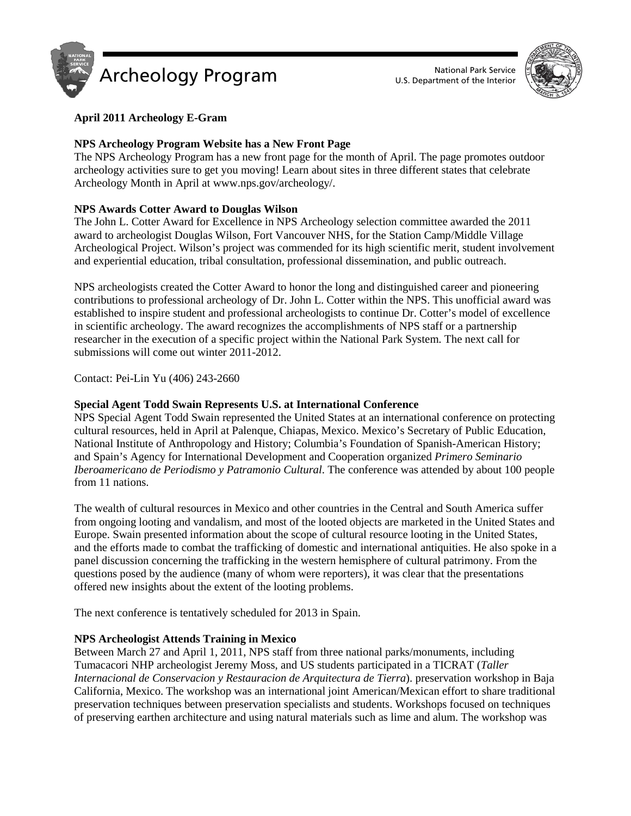



# **April 2011 Archeology E-Gram**

# **NPS Archeology Program Website has a New Front Page**

The NPS Archeology Program has a new front page for the month of April. The page promotes outdoor archeology activities sure to get you moving! Learn about sites in three different states that celebrate Archeology Month in April at www.nps.gov/archeology/.

# **NPS Awards Cotter Award to Douglas Wilson**

The John L. Cotter Award for Excellence in NPS Archeology selection committee awarded the 2011 award to archeologist Douglas Wilson, Fort Vancouver NHS, for the Station Camp/Middle Village Archeological Project. Wilson's project was commended for its high scientific merit, student involvement and experiential education, tribal consultation, professional dissemination, and public outreach.

NPS archeologists created the Cotter Award to honor the long and distinguished career and pioneering contributions to professional archeology of Dr. John L. Cotter within the NPS. This unofficial award was established to inspire student and professional archeologists to continue Dr. Cotter's model of excellence in scientific archeology. The award recognizes the accomplishments of NPS staff or a partnership researcher in the execution of a specific project within the National Park System. The next call for submissions will come out winter 2011-2012.

Contact: Pei-Lin Yu (406) 243-2660

# **Special Agent Todd Swain Represents U.S. at International Conference**

NPS Special Agent Todd Swain represented the United States at an international conference on protecting cultural resources, held in April at Palenque, Chiapas, Mexico. Mexico's Secretary of Public Education, National Institute of Anthropology and History; Columbia's Foundation of Spanish-American History; and Spain's Agency for International Development and Cooperation organized *Primero Seminario Iberoamericano de Periodismo y Patramonio Cultural*. The conference was attended by about 100 people from 11 nations.

The wealth of cultural resources in Mexico and other countries in the Central and South America suffer from ongoing looting and vandalism, and most of the looted objects are marketed in the United States and Europe. Swain presented information about the scope of cultural resource looting in the United States, and the efforts made to combat the trafficking of domestic and international antiquities. He also spoke in a panel discussion concerning the trafficking in the western hemisphere of cultural patrimony. From the questions posed by the audience (many of whom were reporters), it was clear that the presentations offered new insights about the extent of the looting problems.

The next conference is tentatively scheduled for 2013 in Spain.

# **NPS Archeologist Attends Training in Mexico**

Between March 27 and April 1, 2011, NPS staff from three national parks/monuments, including Tumacacori NHP archeologist Jeremy Moss, and US students participated in a TICRAT (*Taller Internacional de Conservacion y Restauracion de Arquitectura de Tierra*). preservation workshop in Baja California, Mexico. The workshop was an international joint American/Mexican effort to share traditional preservation techniques between preservation specialists and students. Workshops focused on techniques of preserving earthen architecture and using natural materials such as lime and alum. The workshop was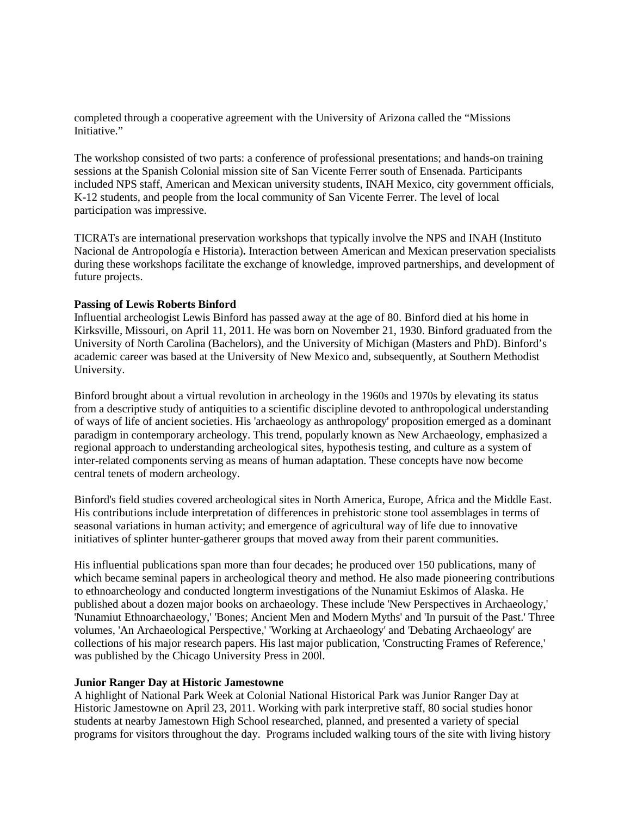completed through a cooperative agreement with the University of Arizona called the "Missions Initiative."

The workshop consisted of two parts: a conference of professional presentations; and hands-on training sessions at the Spanish Colonial mission site of San Vicente Ferrer south of Ensenada. Participants included NPS staff, American and Mexican university students, INAH Mexico, city government officials, K-12 students, and people from the local community of San Vicente Ferrer. The level of local participation was impressive.

TICRATs are international preservation workshops that typically involve the NPS and INAH (Instituto Nacional de Antropología e Historia)**.** Interaction between American and Mexican preservation specialists during these workshops facilitate the exchange of knowledge, improved partnerships, and development of future projects.

# **Passing of Lewis Roberts Binford**

Influential archeologist Lewis Binford has passed away at the age of 80. Binford died at his home in Kirksville, Missouri, on April 11, 2011. He was born on November 21, 1930. Binford graduated from the University of North Carolina (Bachelors), and the University of Michigan (Masters and PhD). Binford's academic career was based at the University of New Mexico and, subsequently, at Southern Methodist University.

Binford brought about a virtual revolution in archeology in the 1960s and 1970s by elevating its status from a descriptive study of antiquities to a scientific discipline devoted to anthropological understanding of ways of life of ancient societies. His 'archaeology as anthropology' proposition emerged as a dominant paradigm in contemporary archeology. This trend, popularly known as New Archaeology, emphasized a regional approach to understanding archeological sites, hypothesis testing, and culture as a system of inter-related components serving as means of human adaptation. These concepts have now become central tenets of modern archeology.

Binford's field studies covered archeological sites in North America, Europe, Africa and the Middle East. His contributions include interpretation of differences in prehistoric stone tool assemblages in terms of seasonal variations in human activity; and emergence of agricultural way of life due to innovative initiatives of splinter hunter-gatherer groups that moved away from their parent communities.

His influential publications span more than four decades; he produced over 150 publications, many of which became seminal papers in archeological theory and method. He also made pioneering contributions to ethnoarcheology and conducted longterm investigations of the Nunamiut Eskimos of Alaska. He published about a dozen major books on archaeology. These include 'New Perspectives in Archaeology,' 'Nunamiut Ethnoarchaeology,' 'Bones; Ancient Men and Modern Myths' and 'In pursuit of the Past.' Three volumes, 'An Archaeological Perspective,' 'Working at Archaeology' and 'Debating Archaeology' are collections of his major research papers. His last major publication, 'Constructing Frames of Reference,' was published by the Chicago University Press in 200l.

### **Junior Ranger Day at Historic Jamestowne**

A highlight of National Park Week at Colonial National Historical Park was Junior Ranger Day at Historic Jamestowne on April 23, 2011. Working with park interpretive staff, 80 social studies honor students at nearby Jamestown High School researched, planned, and presented a variety of special programs for visitors throughout the day. Programs included walking tours of the site with living history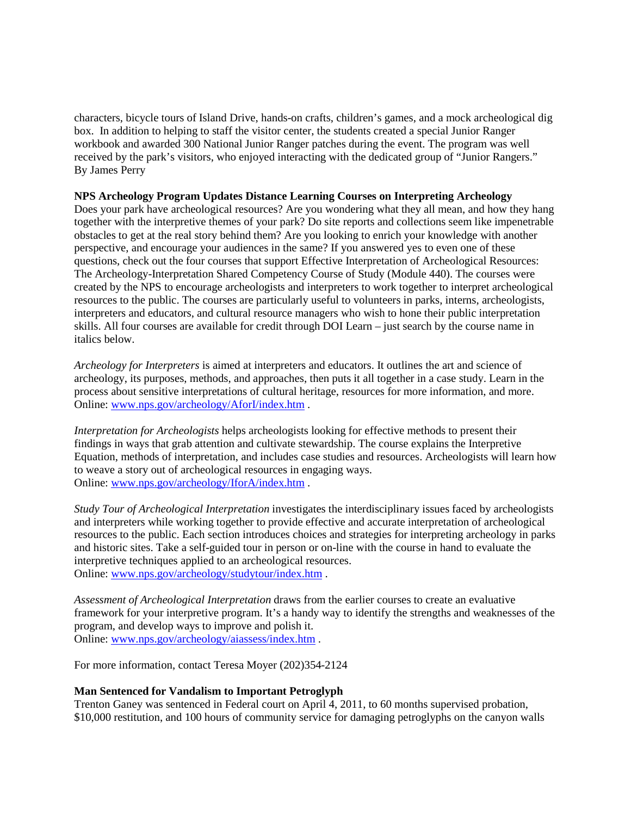characters, bicycle tours of Island Drive, hands-on crafts, children's games, and a mock archeological dig box. In addition to helping to staff the visitor center, the students created a special Junior Ranger workbook and awarded 300 National Junior Ranger patches during the event. The program was well received by the park's visitors, who enjoyed interacting with the dedicated group of "Junior Rangers." By James Perry

### **NPS Archeology Program Updates Distance Learning Courses on Interpreting Archeology**

Does your park have archeological resources? Are you wondering what they all mean, and how they hang together with the interpretive themes of your park? Do site reports and collections seem like impenetrable obstacles to get at the real story behind them? Are you looking to enrich your knowledge with another perspective, and encourage your audiences in the same? If you answered yes to even one of these questions, check out the four courses that support Effective Interpretation of Archeological Resources: The Archeology-Interpretation Shared Competency Course of Study (Module 440). The courses were created by the NPS to encourage archeologists and interpreters to work together to interpret archeological resources to the public. The courses are particularly useful to volunteers in parks, interns, archeologists, interpreters and educators, and cultural resource managers who wish to hone their public interpretation skills. All four courses are available for credit through DOI Learn – just search by the course name in italics below.

*Archeology for Interpreters* is aimed at interpreters and educators. It outlines the art and science of archeology, its purposes, methods, and approaches, then puts it all together in a case study. Learn in the process about sensitive interpretations of cultural heritage, resources for more information, and more. Online[: www.nps.gov/archeology/AforI/index.htm](http://www.nps.gov/archeology/AforI/index.htm) .

*Interpretation for Archeologists* helps archeologists looking for effective methods to present their findings in ways that grab attention and cultivate stewardship. The course explains the Interpretive Equation, methods of interpretation, and includes case studies and resources. Archeologists will learn how to weave a story out of archeological resources in engaging ways. Online[: www.nps.gov/archeology/IforA/index.htm](http://www.nps.gov/archeology/IforA/index.htm) .

*Study Tour of Archeological Interpretation* investigates the interdisciplinary issues faced by archeologists and interpreters while working together to provide effective and accurate interpretation of archeological resources to the public. Each section introduces choices and strategies for interpreting archeology in parks and historic sites. Take a self-guided tour in person or on-line with the course in hand to evaluate the interpretive techniques applied to an archeological resources. Online: [www.nps.gov/archeology/studytour/index.htm](http://www.nps.gov/archeology/studytour/index.htm) .

*Assessment of Archeological Interpretation* draws from the earlier courses to create an evaluative framework for your interpretive program. It's a handy way to identify the strengths and weaknesses of the program, and develop ways to improve and polish it. Online[: www.nps.gov/archeology/aiassess/index.htm](http://www.nps.gov/archeology/aiassess/index.htm) .

For more information, contact Teresa Moyer (202)354-2124

# **Man Sentenced for Vandalism to Important Petroglyph**

Trenton Ganey was sentenced in Federal court on April 4, 2011, to 60 months supervised probation, \$10,000 restitution, and 100 hours of community service for damaging petroglyphs on the canyon walls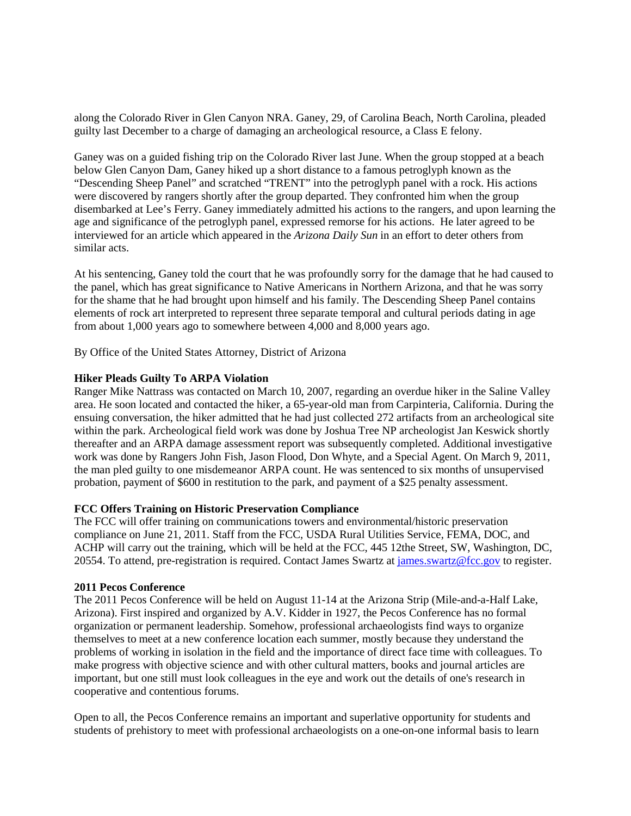along the Colorado River in Glen Canyon NRA. Ganey, 29, of Carolina Beach, North Carolina, pleaded guilty last December to a charge of damaging an archeological resource, a Class E felony.

Ganey was on a guided fishing trip on the Colorado River last June. When the group stopped at a beach below Glen Canyon Dam, Ganey hiked up a short distance to a famous petroglyph known as the "Descending Sheep Panel" and scratched "TRENT" into the petroglyph panel with a rock. His actions were discovered by rangers shortly after the group departed. They confronted him when the group disembarked at Lee's Ferry. Ganey immediately admitted his actions to the rangers, and upon learning the age and significance of the petroglyph panel, expressed remorse for his actions. He later agreed to be interviewed for an article which appeared in the *Arizona Daily Sun* in an effort to deter others from similar acts.

At his sentencing, Ganey told the court that he was profoundly sorry for the damage that he had caused to the panel, which has great significance to Native Americans in Northern Arizona, and that he was sorry for the shame that he had brought upon himself and his family. The Descending Sheep Panel contains elements of rock art interpreted to represent three separate temporal and cultural periods dating in age from about 1,000 years ago to somewhere between 4,000 and 8,000 years ago.

By Office of the United States Attorney, District of Arizona

### **Hiker Pleads Guilty To ARPA Violation**

Ranger Mike Nattrass was contacted on March 10, 2007, regarding an overdue hiker in the Saline Valley area. He soon located and contacted the hiker, a 65-year-old man from Carpinteria, California. During the ensuing conversation, the hiker admitted that he had just collected 272 artifacts from an archeological site within the park. Archeological field work was done by Joshua Tree NP archeologist Jan Keswick shortly thereafter and an ARPA damage assessment report was subsequently completed. Additional investigative work was done by Rangers John Fish, Jason Flood, Don Whyte, and a Special Agent. On March 9, 2011, the man pled guilty to one misdemeanor ARPA count. He was sentenced to six months of unsupervised probation, payment of \$600 in restitution to the park, and payment of a \$25 penalty assessment.

### **FCC Offers Training on Historic Preservation Compliance**

The FCC will offer training on communications towers and environmental/historic preservation compliance on June 21, 2011. Staff from the FCC, USDA Rural Utilities Service, FEMA, DOC, and ACHP will carry out the training, which will be held at the FCC, 445 12the Street, SW, Washington, DC, 20554. To attend, pre-registration is required. Contact James Swartz a[t james.swartz@fcc.gov](mailto:james.swartz@fcc.gov) to register.

### **2011 Pecos Conference**

The 2011 Pecos Conference will be held on August 11-14 at the Arizona Strip (Mile-and-a-Half Lake, Arizona). First inspired and organized by A.V. Kidder in 1927, the Pecos Conference has no formal organization or permanent leadership. Somehow, professional archaeologists find ways to organize themselves to meet at a new conference location each summer, mostly because they understand the problems of working in isolation in the field and the importance of direct face time with colleagues. To make progress with objective science and with other cultural matters, books and journal articles are important, but one still must look colleagues in the eye and work out the details of one's research in cooperative and contentious forums.

Open to all, the Pecos Conference remains an important and superlative opportunity for students and students of prehistory to meet with professional archaeologists on a one-on-one informal basis to learn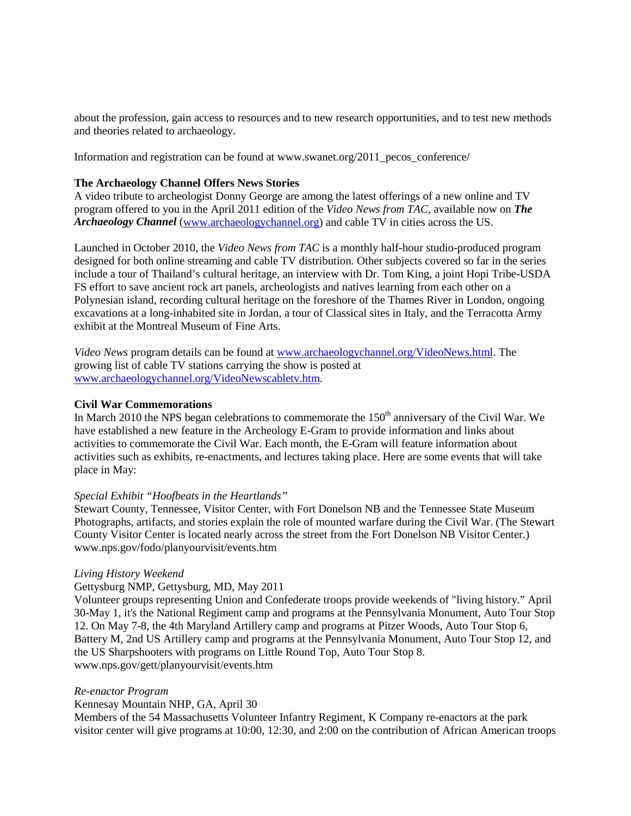about the profession, gain access to resources and to new research opportunities, and to test new methods and theories related to archaeology.

Information and registration can be found at www.swanet.org/ $2011$  pecos conference/

# **The Archaeology Channel Offers News Stories**

A video tribute to archeologist Donny George are among the latest offerings of a new online and TV program offered to you in the April 2011 edition of the *Video News from TAC*, available now on *The Archaeology Channel* [\(www.archaeologychannel.org\)](http://www.archaeologychannel.org/) and cable TV in cities across the US.

Launched in October 2010, the *Video News from TAC* is a monthly half-hour studio-produced program designed for both online streaming and cable TV distribution. Other subjects covered so far in the series include a tour of Thailand's cultural heritage, an interview with Dr. Tom King, a joint Hopi Tribe-USDA FS effort to save ancient rock art panels, archeologists and natives learning from each other on a Polynesian island, recording cultural heritage on the foreshore of the Thames River in London, ongoing excavations at a long-inhabited site in Jordan, a tour of Classical sites in Italy, and the Terracotta Army exhibit at the Montreal Museum of Fine Arts.

*Video News* program details can be found at [www.archaeologychannel.org/VideoNews.html.](http://www.archaeologychannel.org/VideoNews.html) The growing list of cable TV stations carrying the show is posted at [www.archaeologychannel.org/VideoNewscabletv.htm.](http://www.archaeologychannel.org/VideoNewscabletv.htm)

### **Civil War Commemorations**

In March 2010 the NPS began celebrations to commemorate the  $150<sup>th</sup>$  anniversary of the Civil War. We have established a new feature in the Archeology E-Gram to provide information and links about activities to commemorate the Civil War. Each month, the E-Gram will feature information about activities such as exhibits, re-enactments, and lectures taking place. Here are some events that will take place in May:

### *Special Exhibit "Hoofbeats in the Heartlands"*

Stewart County, Tennessee, Visitor Center, with Fort Donelson NB and the Tennessee State Museum Photographs, artifacts, and stories explain the role of mounted warfare during the Civil War. (The Stewart County Visitor Center is located nearly across the street from the Fort Donelson NB Visitor Center.) www.nps.gov/fodo/planyourvisit/events.htm

### *Living History Weekend*

### Gettysburg NMP, Gettysburg, MD, May 2011

Volunteer groups representing Union and Confederate troops provide weekends of "living history." April 30-May 1, it's the National Regiment camp and programs at the Pennsylvania Monument, Auto Tour Stop 12. On May 7-8, the 4th Maryland Artillery camp and programs at Pitzer Woods, Auto Tour Stop 6, Battery M, 2nd US Artillery camp and programs at the Pennsylvania Monument, Auto Tour Stop 12, and the US Sharpshooters with programs on Little Round Top, Auto Tour Stop 8. www.nps.gov/gett/planyourvisit/events.htm

### *Re-enactor Program*

### Kennesay Mountain NHP, GA, April 30

Members of the 54 Massachusetts Volunteer Infantry Regiment, K Company re-enactors at the park visitor center will give programs at 10:00, 12:30, and 2:00 on the contribution of African American troops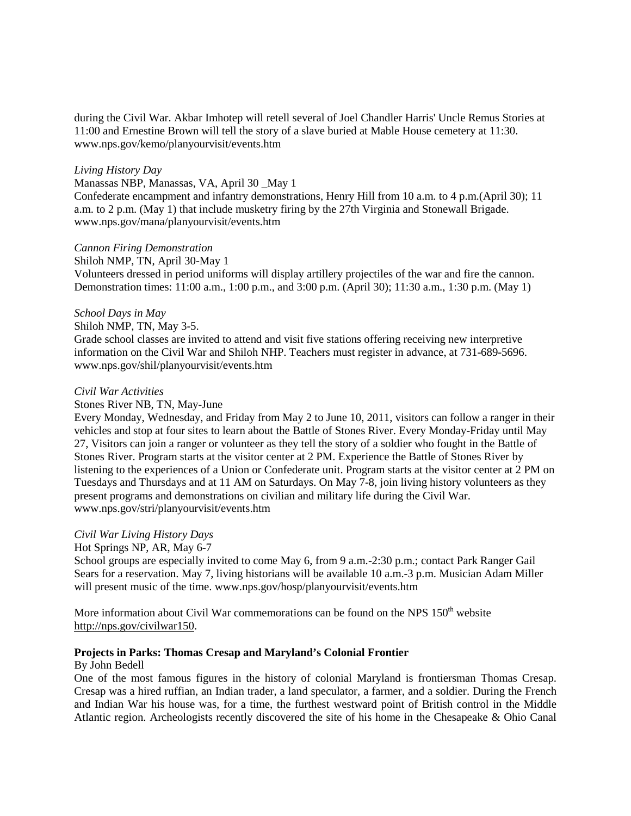during the Civil War. Akbar Imhotep will retell several of Joel Chandler Harris' Uncle Remus Stories at 11:00 and Ernestine Brown will tell the story of a slave buried at Mable House cemetery at 11:30. www.nps.gov/kemo/planyourvisit/events.htm

### *Living History Day*

Manassas NBP, Manassas, VA, April 30 \_May 1 Confederate encampment and infantry demonstrations, Henry Hill from 10 a.m. to 4 p.m.(April 30); 11 a.m. to 2 p.m. (May 1) that include musketry firing by the 27th Virginia and Stonewall Brigade. www.nps.gov/mana/planyourvisit/events.htm

### *Cannon Firing Demonstration*

#### Shiloh NMP, TN, April 30-May 1

Volunteers dressed in period uniforms will display artillery projectiles of the war and fire the cannon. Demonstration times: 11:00 a.m., 1:00 p.m., and 3:00 p.m. (April 30); 11:30 a.m., 1:30 p.m. (May 1)

#### *School Days in May*

Shiloh NMP, TN, May 3-5.

Grade school classes are invited to attend and visit five stations offering receiving new interpretive information on the Civil War and Shiloh NHP. Teachers must register in advance, at 731-689-5696. www.nps.gov/shil/planyourvisit/events.htm

#### *Civil War Activities*

#### Stones River NB, TN, May-June

Every Monday, Wednesday, and Friday from May 2 to June 10, 2011, visitors can follow a ranger in their vehicles and stop at four sites to learn about the Battle of Stones River. Every Monday-Friday until May 27, Visitors can join a ranger or volunteer as they tell the story of a soldier who fought in the Battle of Stones River. Program starts at the visitor center at 2 PM. Experience the Battle of Stones River by listening to the experiences of a Union or Confederate unit. Program starts at the visitor center at 2 PM on Tuesdays and Thursdays and at 11 AM on Saturdays. On May 7-8, join living history volunteers as they present programs and demonstrations on civilian and military life during the Civil War. www.nps.gov/stri/planyourvisit/events.htm

### *Civil War Living History Days*

### Hot Springs NP, AR, May 6-7

School groups are especially invited to come May 6, from 9 a.m.-2:30 p.m.; contact Park Ranger Gail Sears for a reservation. May 7, living historians will be available 10 a.m.-3 p.m. Musician Adam Miller will present music of the time. www.nps.gov/hosp/planyourvisit/events.htm

More information about Civil War commemorations can be found on the NPS  $150<sup>th</sup>$  website [http://nps.gov/civilwar150.](http://nps.gov/civilwar150)

## **Projects in Parks: Thomas Cresap and Maryland's Colonial Frontier**

### By John Bedell

One of the most famous figures in the history of colonial Maryland is frontiersman Thomas Cresap. Cresap was a hired ruffian, an Indian trader, a land speculator, a farmer, and a soldier. During the French and Indian War his house was, for a time, the furthest westward point of British control in the Middle Atlantic region. Archeologists recently discovered the site of his home in the Chesapeake & Ohio Canal